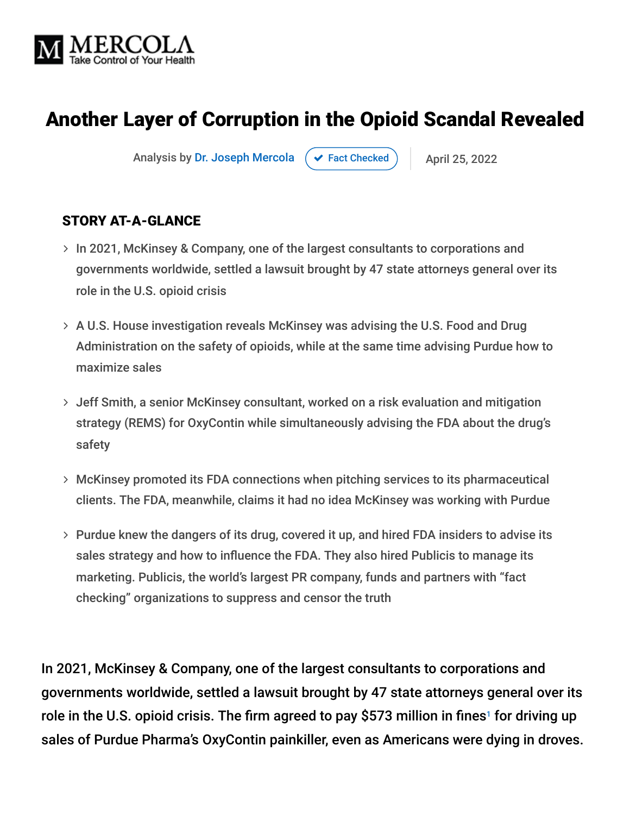

## Another Layer of Corruption in the Opioid Scandal Revealed

Analysis by [Dr. Joseph Mercola](https://www.mercola.com/forms/background.htm)  $\rightarrow$  [Fact Checked](javascript:void(0))  $\rightarrow$  April 25, 2022

#### STORY AT-A-GLANCE

- > In 2021, McKinsey & Company, one of the largest consultants to corporations and governments worldwide, settled a lawsuit brought by 47 state attorneys general over its role in the U.S. opioid crisis
- A U.S. House investigation reveals McKinsey was advising the U.S. Food and Drug Administration on the safety of opioids, while at the same time advising Purdue how to maximize sales
- Jeff Smith, a senior McKinsey consultant, worked on a risk evaluation and mitigation strategy (REMS) for OxyContin while simultaneously advising the FDA about the drug's safety
- McKinsey promoted its FDA connections when pitching services to its pharmaceutical clients. The FDA, meanwhile, claims it had no idea McKinsey was working with Purdue
- Purdue knew the dangers of its drug, covered it up, and hired FDA insiders to advise its sales strategy and how to influence the FDA. They also hired Publicis to manage its marketing. Publicis, the world's largest PR company, funds and partners with "fact checking" organizations to suppress and censor the truth

In 2021, McKinsey & Company, one of the largest consultants to corporations and governments worldwide, settled a lawsuit brought by 47 state attorneys general over its role in the U.S. opioid crisis. The firm agreed to pay \$573 million in fines<sup>1</sup> for driving up sales of Purdue Pharma's OxyContin painkiller, even as Americans were dying in droves.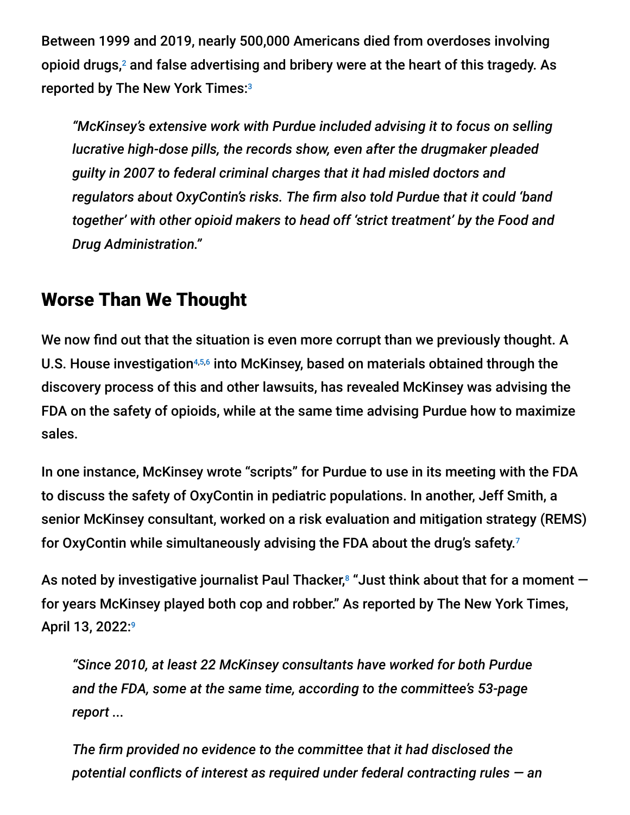Between 1999 and 2019, nearly 500,000 Americans died from overdoses involving opioid drugs, $2$  and false advertising and bribery were at the heart of this tragedy. As reported by The New York Times: 3

*"McKinsey's extensive work with Purdue included advising it to focus on selling lucrative high-dose pills, the records show, even after the drugmaker pleaded guilty in 2007 to federal criminal charges that it had misled doctors and regulators about OxyContin's risks. The firm also told Purdue that it could 'band together' with other opioid makers to head off 'strict treatment' by the Food and Drug Administration."*

## Worse Than We Thought

We now find out that the situation is even more corrupt than we previously thought. A U.S. House investigation<sup>4,5,6</sup> into McKinsey, based on materials obtained through the discovery process of this and other lawsuits, has revealed McKinsey was advising the FDA on the safety of opioids, while at the same time advising Purdue how to maximize sales.

In one instance, McKinsey wrote "scripts" for Purdue to use in its meeting with the FDA to discuss the safety of OxyContin in pediatric populations. In another, Jeff Smith, a senior McKinsey consultant, worked on a risk evaluation and mitigation strategy (REMS) for OxyContin while simultaneously advising the FDA about the drug's safety. 7

As noted by investigative journalist Paul Thacker, $^{\rm s}$  "Just think about that for a moment  $$ for years McKinsey played both cop and robber." As reported by The New York Times, April 13, 2022:9

*"Since 2010, at least 22 McKinsey consultants have worked for both Purdue and the FDA, some at the same time, according to the committee's 53-page report ...*

*The firm provided no evidence to the committee that it had disclosed the potential conflicts of interest as required under federal contracting rules — an*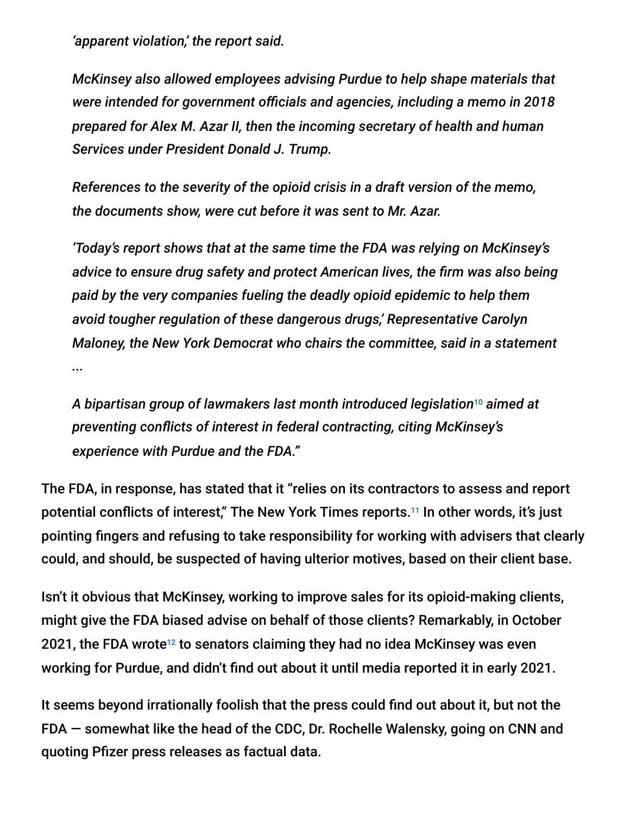*'apparent violation,' the report said.*

*McKinsey also allowed employees advising Purdue to help shape materials that were intended for government officials and agencies, including a memo in 2018 prepared for Alex M. Azar II, then the incoming secretary of health and human Services under President Donald J. Trump.*

*References to the severity of the opioid crisis in a draft version of the memo, the documents show, were cut before it was sent to Mr. Azar.*

*'Today's report shows that at the same time the FDA was relying on McKinsey's advice to ensure drug safety and protect American lives, the firm was also being paid by the very companies fueling the deadly opioid epidemic to help them avoid tougher regulation of these dangerous drugs,' Representative Carolyn Maloney, the New York Democrat who chairs the committee, said in a statement ...*

*A bipartisan group of lawmakers last month introduced legislation aimed at* 10 *preventing conflicts of interest in federal contracting, citing McKinsey's experience with Purdue and the FDA."*

The FDA, in response, has stated that it "relies on its contractors to assess and report potential conflicts of interest," The New York Times reports.<sup>11</sup> In other words, it's just pointing fingers and refusing to take responsibility for working with advisers that clearly could, and should, be suspected of having ulterior motives, based on their client base.

Isn't it obvious that McKinsey, working to improve sales for its opioid-making clients, might give the FDA biased advise on behalf of those clients? Remarkably, in October 2021, the FDA wrote $^{12}$  to senators claiming they had no idea McKinsey was even working for Purdue, and didn't find out about it until media reported it in early 2021.

It seems beyond irrationally foolish that the press could find out about it, but not the FDA — somewhat like the head of the CDC, Dr. Rochelle Walensky, going on CNN and quoting Pfizer press releases as factual data.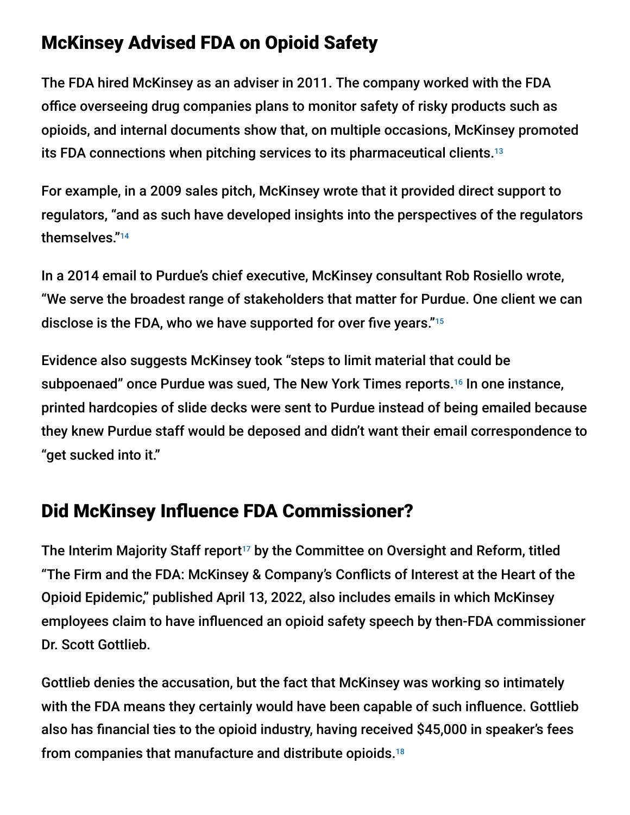## McKinsey Advised FDA on Opioid Safety

The FDA hired McKinsey as an adviser in 2011. The company worked with the FDA office overseeing drug companies plans to monitor safety of risky products such as opioids, and internal documents show that, on multiple occasions, McKinsey promoted its FDA connections when pitching services to its pharmaceutical clients. 13

For example, in a 2009 sales pitch, McKinsey wrote that it provided direct support to regulators, "and as such have developed insights into the perspectives of the regulators themselves." 14

In a 2014 email to Purdue's chief executive, McKinsey consultant Rob Rosiello wrote, "We serve the broadest range of stakeholders that matter for Purdue. One client we can disclose is the FDA, who we have supported for over five years." 15

Evidence also suggests McKinsey took "steps to limit material that could be subpoenaed" once Purdue was sued, The New York Times reports.<sup>16</sup> In one instance, printed hardcopies of slide decks were sent to Purdue instead of being emailed because they knew Purdue staff would be deposed and didn't want their email correspondence to "get sucked into it."

## Did McKinsey Influence FDA Commissioner?

The Interim Majority Staff report<sup>17</sup> by the Committee on Oversight and Reform, titled "The Firm and the FDA: McKinsey & Company's Conflicts of Interest at the Heart of the Opioid Epidemic," published April 13, 2022, also includes emails in which McKinsey employees claim to have influenced an opioid safety speech by then-FDA commissioner Dr. Scott Gottlieb.

Gottlieb denies the accusation, but the fact that McKinsey was working so intimately with the FDA means they certainly would have been capable of such influence. Gottlieb also has financial ties to the opioid industry, having received \$45,000 in speaker's fees from companies that manufacture and distribute opioids. 18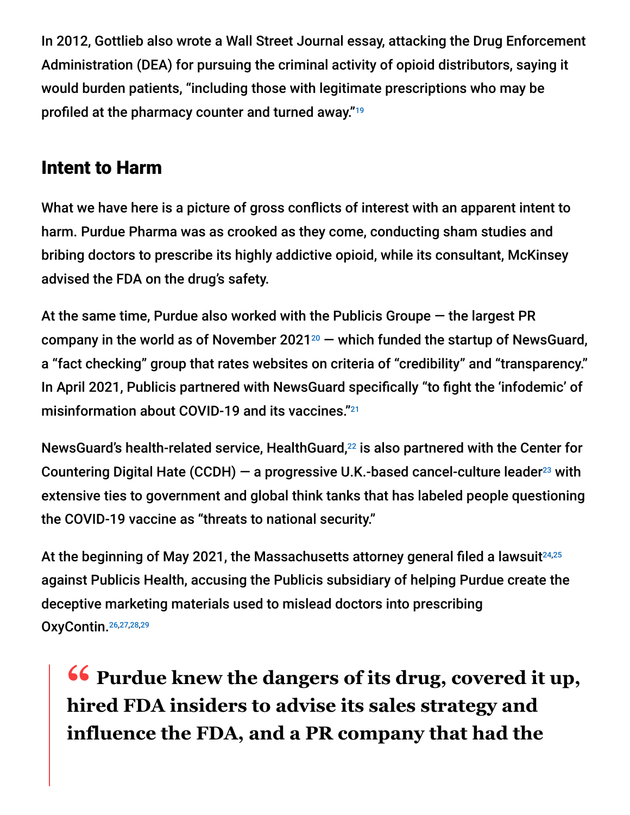In 2012, Gottlieb also wrote a Wall Street Journal essay, attacking the Drug Enforcement Administration (DEA) for pursuing the criminal activity of opioid distributors, saying it would burden patients, "including those with legitimate prescriptions who may be profiled at the pharmacy counter and turned away." 19

## Intent to Harm

What we have here is a picture of gross conflicts of interest with an apparent intent to harm. Purdue Pharma was as crooked as they come, conducting sham studies and bribing doctors to prescribe its highly addictive opioid, while its consultant, McKinsey advised the FDA on the drug's safety.

At the same time, Purdue also worked with the Publicis Groupe — the largest PR company in the world as of November 2021 $20$  – which funded the startup of NewsGuard, a "fact checking" group that rates websites on criteria of "credibility" and "transparency." In April 2021, Publicis partnered with NewsGuard specifically "to fight the 'infodemic' of misinformation about COVID-19 and its vaccines." 21

NewsGuard's health-related service, HealthGuard,<sup>22</sup> is also partnered with the Center for Countering Digital Hate (CCDH)  $-$  a progressive U.K.-based cancel-culture leader<sup>23</sup> with extensive ties to government and global think tanks that has labeled people questioning the COVID-19 vaccine as "threats to national security."

At the beginning of May 2021, the Massachusetts attorney general filed a lawsuit 24,25 against Publicis Health, accusing the Publicis subsidiary of helping Purdue create the deceptive marketing materials used to mislead doctors into prescribing OxyContin. 26,27,28,29

**<sup>66</sup>** Purdue knew the dangers of its drug, covered it up,<br>hired FDA insiders to advise its sales strategy and **hired FDA insiders to advise its sales strategy and influence the FDA, and a PR company that had the**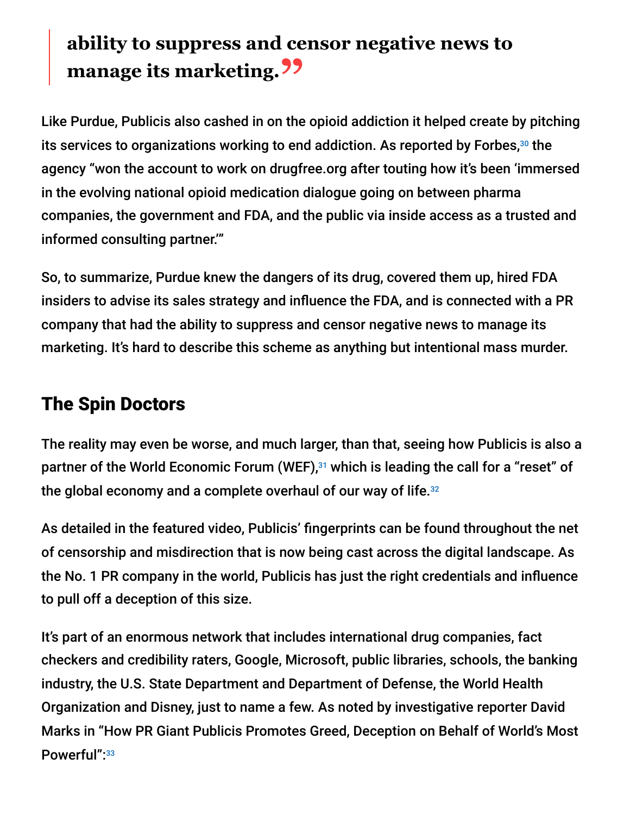# **ability to suppress and censor negative news to manage its marketing.**<sup>22</sup>

Like Purdue, Publicis also cashed in on the opioid addiction it helped create by pitching its services to organizations working to end addiction. As reported by Forbes, $30$  the agency "won the account to work on drugfree.org after touting how it's been 'immersed in the evolving national opioid medication dialogue going on between pharma companies, the government and FDA, and the public via inside access as a trusted and informed consulting partner.'"

So, to summarize, Purdue knew the dangers of its drug, covered them up, hired FDA insiders to advise its sales strategy and influence the FDA, and is connected with a PR company that had the ability to suppress and censor negative news to manage its marketing. It's hard to describe this scheme as anything but intentional mass murder.

## The Spin Doctors

The reality may even be worse, and much larger, than that, seeing how Publicis is also a partner of the World Economic Forum (WEF),<sup>31</sup> which is leading the call for a "reset" of the global economy and a complete overhaul of our way of life. 32

As detailed in the featured video, Publicis' fingerprints can be found throughout the net of censorship and misdirection that is now being cast across the digital landscape. As the No. 1 PR company in the world, Publicis has just the right credentials and influence to pull off a deception of this size.

It's part of an enormous network that includes international drug companies, fact checkers and credibility raters, Google, Microsoft, public libraries, schools, the banking industry, the U.S. State Department and Department of Defense, the World Health Organization and Disney, just to name a few. As noted by investigative reporter David Marks in "How PR Giant Publicis Promotes Greed, Deception on Behalf of World's Most Powerful": 33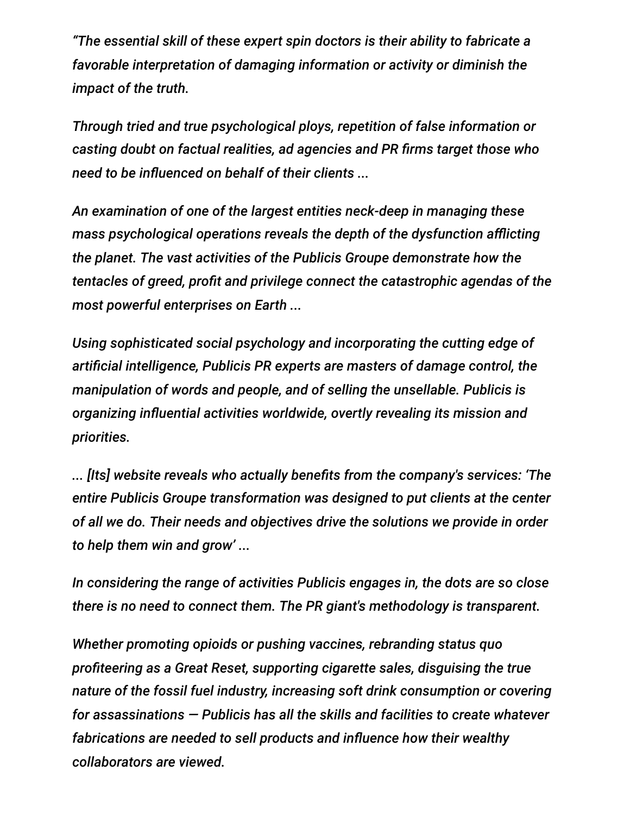*"The essential skill of these expert spin doctors is their ability to fabricate a favorable interpretation of damaging information or activity or diminish the impact of the truth.*

*Through tried and true psychological ploys, repetition of false information or casting doubt on factual realities, ad agencies and PR firms target those who need to be influenced on behalf of their clients ...*

*An examination of one of the largest entities neck-deep in managing these mass psychological operations reveals the depth of the dysfunction afflicting the planet. The vast activities of the Publicis Groupe demonstrate how the tentacles of greed, profit and privilege connect the catastrophic agendas of the most powerful enterprises on Earth ...*

*Using sophisticated social psychology and incorporating the cutting edge of artificial intelligence, Publicis PR experts are masters of damage control, the manipulation of words and people, and of selling the unsellable. Publicis is organizing influential activities worldwide, overtly revealing its mission and priorities.*

*... [Its] website reveals who actually benefits from the company's services: 'The entire Publicis Groupe transformation was designed to put clients at the center of all we do. Their needs and objectives drive the solutions we provide in order to help them win and grow' ...*

*In considering the range of activities Publicis engages in, the dots are so close there is no need to connect them. The PR giant's methodology is transparent.*

*Whether promoting opioids or pushing vaccines, rebranding status quo profiteering as a Great Reset, supporting cigarette sales, disguising the true nature of the fossil fuel industry, increasing soft drink consumption or covering for assassinations — Publicis has all the skills and facilities to create whatever fabrications are needed to sell products and influence how their wealthy collaborators are viewed.*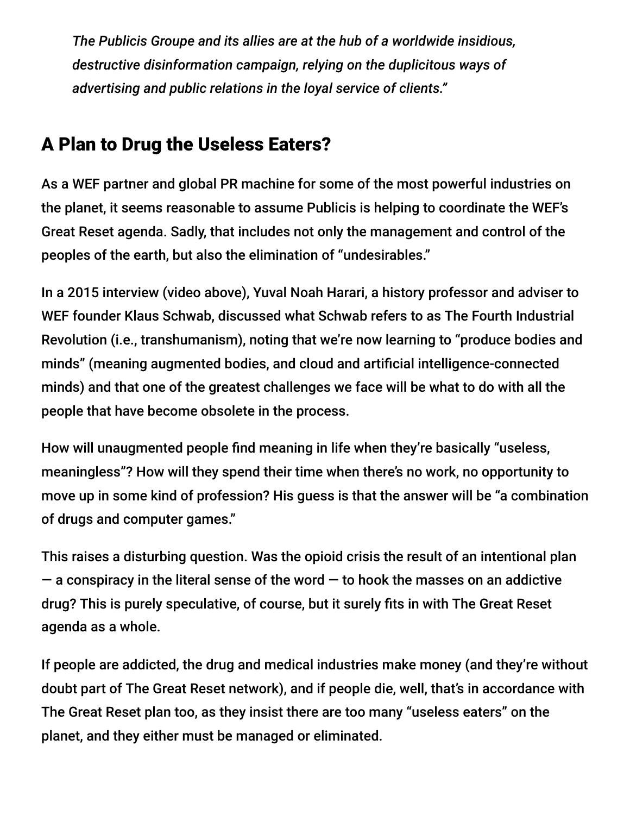*The Publicis Groupe and its allies are at the hub of a worldwide insidious, destructive disinformation campaign, relying on the duplicitous ways of advertising and public relations in the loyal service of clients."*

## A Plan to Drug the Useless Eaters?

As a WEF partner and global PR machine for some of the most powerful industries on the planet, it seems reasonable to assume Publicis is helping to coordinate the WEF's Great Reset agenda. Sadly, that includes not only the management and control of the peoples of the earth, but also the elimination of "undesirables."

In a 2015 interview (video above), Yuval Noah Harari, a history professor and adviser to WEF founder Klaus Schwab, discussed what Schwab refers to as The Fourth Industrial Revolution (i.e., transhumanism), noting that we're now learning to "produce bodies and minds" (meaning augmented bodies, and cloud and artificial intelligence-connected minds) and that one of the greatest challenges we face will be what to do with all the people that have become obsolete in the process.

How will unaugmented people find meaning in life when they're basically "useless, meaningless"? How will they spend their time when there's no work, no opportunity to move up in some kind of profession? His guess is that the answer will be "a combination of drugs and computer games."

This raises a disturbing question. Was the opioid crisis the result of an intentional plan  $-$  a conspiracy in the literal sense of the word  $-$  to hook the masses on an addictive drug? This is purely speculative, of course, but it surely fits in with The Great Reset agenda as a whole.

If people are addicted, the drug and medical industries make money (and they're without doubt part of The Great Reset network), and if people die, well, that's in accordance with The Great Reset plan too, as they insist there are too many "useless eaters" on the planet, and they either must be managed or eliminated.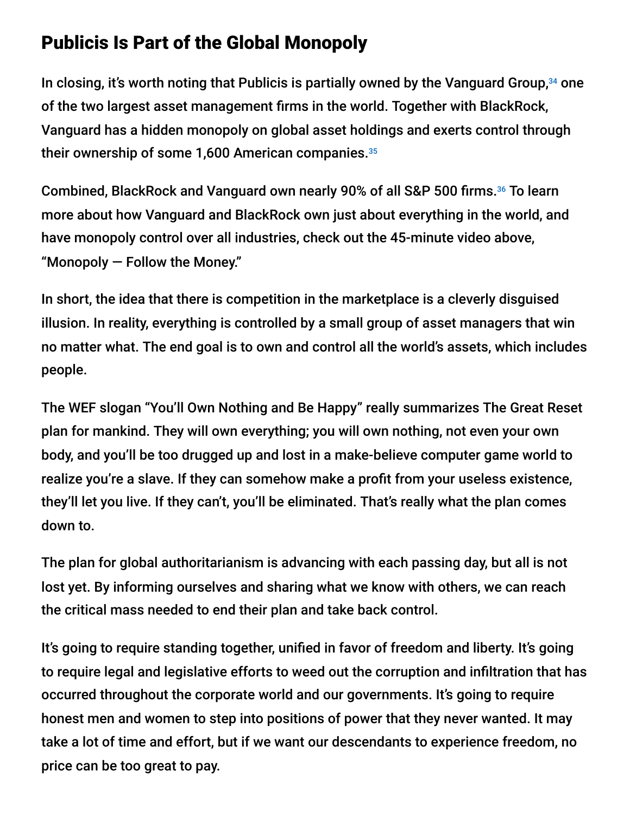## Publicis Is Part of the Global Monopoly

In closing, it's worth noting that Publicis is partially owned by the Vanguard Group,<sup>34</sup> one of the two largest asset management firms in the world. Together with BlackRock, Vanguard has a hidden monopoly on global asset holdings and exerts control through their ownership of some 1,600 American companies. 35

Combined, BlackRock and Vanguard own nearly 90% of all S&P 500 firms.<sup>36</sup> To learn more about how Vanguard and BlackRock own just about everything in the world, and have monopoly control over all industries, check out the 45-minute video above, "Monopoly — Follow the Money."

In short, the idea that there is competition in the marketplace is a cleverly disguised illusion. In reality, everything is controlled by a small group of asset managers that win no matter what. The end goal is to own and control all the world's assets, which includes people.

The WEF slogan "You'll Own Nothing and Be Happy" really summarizes The Great Reset plan for mankind. They will own everything; you will own nothing, not even your own body, and you'll be too drugged up and lost in a make-believe computer game world to realize you're a slave. If they can somehow make a profit from your useless existence, they'll let you live. If they can't, you'll be eliminated. That's really what the plan comes down to.

The plan for global authoritarianism is advancing with each passing day, but all is not lost yet. By informing ourselves and sharing what we know with others, we can reach the critical mass needed to end their plan and take back control.

It's going to require standing together, unified in favor of freedom and liberty. It's going to require legal and legislative efforts to weed out the corruption and infiltration that has occurred throughout the corporate world and our governments. It's going to require honest men and women to step into positions of power that they never wanted. It may take a lot of time and effort, but if we want our descendants to experience freedom, no price can be too great to pay.